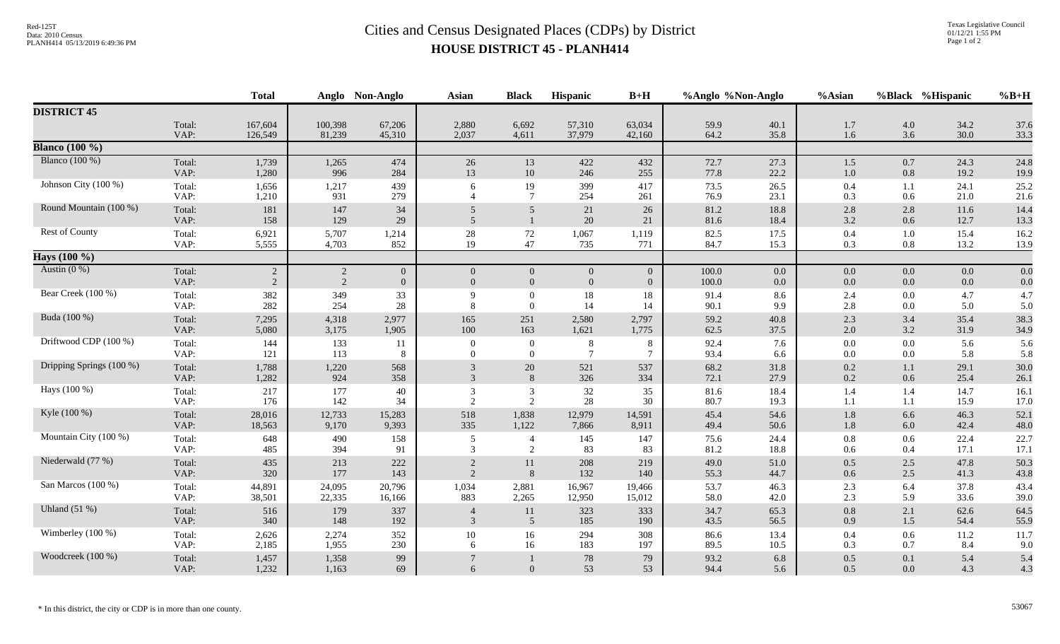## Red-125T<br>Data: 2010 Census<br>PLANH414 05/13/2019 6:49:36 PM<br>**Cities and Census Designated Places (CDPs)** by District **HOUSE DISTRICT 45 - PLANH414**

|                          |                | <b>Total</b>   |                | Anglo Non-Anglo | <b>Asian</b>        | <b>Black</b>                | <b>Hispanic</b> | $B+H$          | %Anglo %Non-Anglo |              | %Asian     |            | %Black %Hispanic | $%B+H$       |
|--------------------------|----------------|----------------|----------------|-----------------|---------------------|-----------------------------|-----------------|----------------|-------------------|--------------|------------|------------|------------------|--------------|
| <b>DISTRICT 45</b>       |                |                |                |                 |                     |                             |                 |                |                   |              |            |            |                  |              |
|                          | Total:         | 167,604        | 100,398        | 67,206          | 2,880               | 6,692                       | 57,310          | 63,034         | 59.9              | 40.1         | 1.7        | 4.0        | 34.2             | 37.6         |
|                          | VAP:           | 126,549        | 81,239         | 45,310          | 2,037               | 4,611                       | 37,979          | 42,160         | 64.2              | 35.8         | 1.6        | 3.6        | 30.0             | 33.3         |
| <b>Blanco</b> (100 %)    |                |                |                |                 |                     |                             |                 |                |                   |              |            |            |                  |              |
| Blanco $(100\%)$         | Total:         | 1,739          | 1,265          | 474             | 26                  | 13                          | 422             | 432            | 72.7              | 27.3         | 1.5        | 0.7        | 24.3             | 24.8         |
|                          | VAP:           | 1,280          | 996            | 284             | 13                  | 10                          | 246             | 255            | 77.8              | 22.2         | 1.0        | 0.8        | 19.2             | 19.9         |
| Johnson City (100 %)     | Total:<br>VAP: | 1,656<br>1,210 | 1,217<br>931   | 439<br>279      | 6                   | 19<br>$\overline{7}$        | 399<br>254      | 417<br>261     | 73.5<br>76.9      | 26.5<br>23.1 | 0.4<br>0.3 | 1.1<br>0.6 | 24.1<br>21.0     | 25.2<br>21.6 |
| Round Mountain (100 %)   | Total:<br>VAP: | 181<br>158     | 147<br>129     | 34<br>29        | 5<br>$\overline{5}$ | 5                           | 21<br>20        | $26\,$<br>21   | 81.2<br>81.6      | 18.8<br>18.4 | 2.8<br>3.2 | 2.8<br>0.6 | $11.6\,$<br>12.7 | 14.4<br>13.3 |
| Rest of County           | Total:         | 6,921          | 5,707          | 1,214           | 28                  | $72\,$                      | 1,067           | 1,119          | 82.5              | 17.5         | 0.4        | 1.0        | 15.4             | 16.2         |
|                          | VAP:           | 5,555          | 4,703          | 852             | 19                  | 47                          | 735             | 771            | 84.7              | 15.3         | 0.3        | 0.8        | 13.2             | 13.9         |
| Hays (100 %)             |                |                |                |                 |                     |                             |                 |                |                   |              |            |            |                  |              |
| Austin $(0\%)$           | Total:         | $\sqrt{2}$     | $\overline{c}$ | $\overline{0}$  | $\overline{0}$      | $\mathbf{0}$                | $\overline{0}$  | $\mathbf{0}$   | 100.0             | $0.0\,$      | $0.0\,$    | 0.0        | $0.0\,$          | 0.0          |
|                          | VAP:           | 2              | 2              | $\overline{0}$  | $\overline{0}$      | $\overline{0}$              | $\overline{0}$  | $\overline{0}$ | 100.0             | $0.0\,$      | 0.0        | 0.0        | $0.0\,$          | 0.0          |
| Bear Creek (100 %)       | Total:         | 382            | 349            | 33              | $\mathbf Q$         | $\Omega$                    | 18              | 18             | 91.4              | 8.6          | 2.4        | 0.0        | 4.7              | 4.7          |
|                          | VAP:           | 282            | 254            | 28              | 8                   | $\overline{0}$              | 14              | 14             | 90.1              | 9.9          | 2.8        | 0.0        | 5.0              | 5.0          |
| Buda (100 %)             | Total:         | 7,295          | 4,318          | 2,977           | 165                 | 251                         | 2,580           | 2,797          | 59.2              | 40.8         | 2.3        | 3.4        | 35.4             | 38.3         |
|                          | VAP:           | 5,080          | 3,175          | 1,905           | 100                 | 163                         | 1,621           | 1,775          | 62.5              | 37.5         | 2.0        | 3.2        | 31.9             | 34.9         |
| Driftwood CDP (100 %)    | Total:         | 144            | 133            | 11              | $\overline{0}$      | $\boldsymbol{0}$            | 8               | 8              | 92.4              | 7.6          | $0.0\,$    | 0.0        | 5.6              | 5.6          |
|                          | VAP:           | 121            | 113            | 8               | $\Omega$            | $\Omega$                    | $\overline{7}$  | $\overline{7}$ | 93.4              | 6.6          | $0.0\,$    | 0.0        | 5.8              | 5.8          |
| Dripping Springs (100 %) | Total:         | 1,788          | 1,220          | 568             | 3                   | 20                          | 521             | 537            | 68.2              | 31.8         | 0.2        | 1.1        | 29.1             | 30.0         |
|                          | VAP:           | 1,282          | 924            | 358             | $\mathcal{E}$       | 8                           | 326             | 334            | 72.1              | 27.9         | 0.2        | 0.6        | 25.4             | 26.1         |
| Hays (100 %)             | Total:         | 217            | 177            | 40              | 3                   | 3                           | 32              | 35             | 81.6              | 18.4         | 1.4        | 1.4        | 14.7             | 16.1         |
|                          | VAP:           | 176            | 142            | 34              | 2                   | 2                           | 28              | 30             | 80.7              | 19.3         | 1.1        | 1.1        | 15.9             | 17.0         |
| Kyle (100 %)             | Total:         | 28,016         | 12,733         | 15,283          | 518                 | 1,838                       | 12,979          | 14,591         | 45.4              | 54.6         | 1.8        | 6.6        | 46.3             | 52.1         |
|                          | VAP:           | 18,563         | 9,170          | 9,393           | 335                 | 1,122                       | 7,866           | 8,911          | 49.4              | 50.6         | 1.8        | 6.0        | 42.4             | 48.0         |
| Mountain City (100 %)    | Total:         | 648            | 490            | 158             | 5                   | $\overline{4}$              | 145             | 147            | 75.6              | 24.4         | $0.8\,$    | 0.6        | 22.4             | 22.7         |
|                          | VAP:           | 485            | 394            | 91              | 3                   | $\mathcal{D}_{\mathcal{L}}$ | 83              | 83             | 81.2              | 18.8         | 0.6        | 0.4        | 17.1             | 17.1         |
| Niederwald (77 %)        | Total:<br>VAP: | 435<br>320     | 213<br>177     | 222<br>143      | $\overline{2}$      | 11<br>8                     | 208<br>132      | 219<br>140     | 49.0<br>55.3      | 51.0<br>44.7 | 0.5<br>0.6 | 2.5<br>2.5 | 47.8<br>41.3     | 50.3<br>43.8 |
| San Marcos (100 %)       | Total:         | 44,891         | 24,095         | 20,796          | 1,034               | 2,881                       | 16,967          | 19,466         | 53.7              | 46.3         | 2.3        | 6.4        | 37.8             | 43.4         |
|                          | VAP:           | 38,501         | 22,335         | 16,166          | 883                 | 2,265                       | 12,950          | 15,012         | 58.0              | 42.0         | 2.3        | 5.9        | 33.6             | 39.0         |
| Uhland $(51%)$           | Total:<br>VAP: | 516<br>340     | 179<br>148     | 337<br>192      | $\overline{3}$      | 11<br>5                     | 323<br>185      | 333<br>190     | 34.7<br>43.5      | 65.3<br>56.5 | 0.8<br>0.9 | 2.1<br>1.5 | 62.6<br>54.4     | 64.5<br>55.9 |
| Wimberley (100 %)        | Total:         | 2,626          | 2,274          | 352             | 10                  | 16                          | 294             | 308            | 86.6              | 13.4         | 0.4        | 0.6        | 11.2             | 11.7         |
|                          | VAP:           | 2,185          | 1,955          | 230             | 6                   | 16                          | 183             | 197            | 89.5              | 10.5         | 0.3        | 0.7        | 8.4              | 9.0          |
| Woodcreek (100 %)        | Total:<br>VAP: | 1,457<br>1,232 | 1,358<br>1,163 | 99<br>69        | 6                   | $\Omega$                    | 78<br>53        | 79<br>53       | 93.2<br>94.4      | 6.8<br>5.6   | 0.5<br>0.5 | 0.1<br>0.0 | 5.4<br>4.3       | 5.4<br>4.3   |